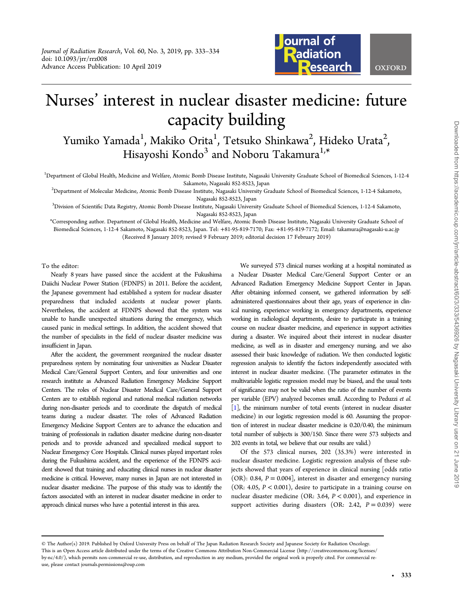

# Nurses' interest in nuclear disaster medicine: future capacity building

Yumiko Yamada $^1$ , Makiko Orita $^1$ , Tetsuko Shinkawa $^2$ , Hideko Urata $^2$ .<br>ر Hisayoshi Kondo<sup>3</sup> and Noboru Takamura<sup>1,\*</sup>

<sup>1</sup>Department of Global Health, Medicine and Welfare, Atomic Bomb Disease Institute, Nagasaki University Graduate School of Biomedical Sciences, 1-12-4

Sakamoto, Nagasaki 852-8523, Japan<br>2Department of Molecular Medicine, Atomic Bomb Disease Institute, Nagasaki University Graduate School of Biomedical Sciences, 1-12-4 Sakamoto?

Nagasaki 852-8523, Japan<br>3Division of Scientific Data Registry, Atomic Bomb Disease Institute, Nagasaki University Graduate School of Biomedical Sciences, 1-12-4 Sakamoto, Nagasaki 852-8523, Japan

\*Corresponding author. Department of Global Health, Medicine and Welfare, Atomic Bomb Disease Institute, Nagasaki University Graduate School of Biomedical Sciences, 1-12-4 Sakamoto, Nagasaki 852-8523, Japan. Tel: +81-95-819-7170; Fax: +81-95-819-7172; Email: takamura@nagasaki-u.ac.jp (Received 8 January 2019; revised 9 February 2019; editorial decision 17 February 2019)

To the editor:

Nearly 8 years have passed since the accident at the Fukushima Daiichi Nuclear Power Station (FDNPS) in 2011. Before the accident, the Japanese government had established a system for nuclear disaster preparedness that included accidents at nuclear power plants. Nevertheless, the accident at FDNPS showed that the system was unable to handle unexpected situations during the emergency, which caused panic in medical settings. In addition, the accident showed that the number of specialists in the field of nuclear disaster medicine was insufficient in Japan.

After the accident, the government reorganized the nuclear disaster preparedness system by nominating four universities as Nuclear Disaster Medical Care/General Support Centers, and four universities and one research institute as Advanced Radiation Emergency Medicine Support Centers. The roles of Nuclear Disaster Medical Care/General Support Centers are to establish regional and national medical radiation networks during non-disaster periods and to coordinate the dispatch of medical teams during a nuclear disaster. The roles of Advanced Radiation Emergency Medicine Support Centers are to advance the education and training of professionals in radiation disaster medicine during non-disaster periods and to provide advanced and specialized medical support to Nuclear Emergency Core Hospitals. Clinical nurses played important roles during the Fukushima accident, and the experience of the FDNPS accident showed that training and educating clinical nurses in nuclear disaster medicine is critical. However, many nurses in Japan are not interested in nuclear disaster medicine. The purpose of this study was to identify the factors associated with an interest in nuclear disaster medicine in order to approach clinical nurses who have a potential interest in this area.

We surveyed 573 clinical nurses working at a hospital nominated as a Nuclear Disaster Medical Care/General Support Center or an Advanced Radiation Emergency Medicine Support Center in Japan. After obtaining informed consent, we gathered information by selfadministered questionnaires about their age, years of experience in clinical nursing, experience working in emergency departments, experience working in radiological departments, desire to participate in a training course on nuclear disaster medicine, and experience in support activities during a disaster. We inquired about their interest in nuclear disaster medicine, as well as in disaster and emergency nursing, and we also assessed their basic knowledge of radiation. We then conducted logistic regression analysis to identify the factors independently associated with interest in nuclear disaster medicine. (The parameter estimates in the multivariable logistic regression model may be biased, and the usual tests of significance may not be valid when the ratio of the number of events per variable (EPV) analyzed becomes small. According to Peduzzi et al. [\[1](#page-1-0)], the minimum number of total events (interest in nuclear disaster medicine) in our logistic regression model is 60. Assuming the proportion of interest in nuclear disaster medicine is 0.20/0.40, the minimum total number of subjects is 300/150. Since there were 573 subjects and 202 events in total, we believe that our results are valid.)

Of the 573 clinical nurses, 202 (35.3%) were interested in nuclear disaster medicine. Logistic regression analysis of these subjects showed that years of experience in clinical nursing [odds ratio (OR): 0.84,  $P = 0.004$ ], interest in disaster and emergency nursing (OR: 4.05,  $P < 0.001$ ), desire to participate in a training course on nuclear disaster medicine (OR: 3.64, P < 0.001), and experience in support activities during disasters (OR: 2.42,  $P = 0.039$ ) were

<sup>©</sup> The Author(s) 2019. Published by Oxford University Press on behalf of The Japan Radiation Research Society and Japanese Society for Radiation Oncology. This is an Open Access article distributed under the terms of the Creative Commons Attribution Non-Commercial License ([http://creativecommons.org/licenses/](http://creativecommons.org/licenses/by-nc/4.0/) [by-nc/4.0/\)](http://creativecommons.org/licenses/by-nc/4.0/), which permits non-commercial re-use, distribution, and reproduction in any medium, provided the original work is properly cited. For commercial reuse, please contact journals.permissions@oup.com